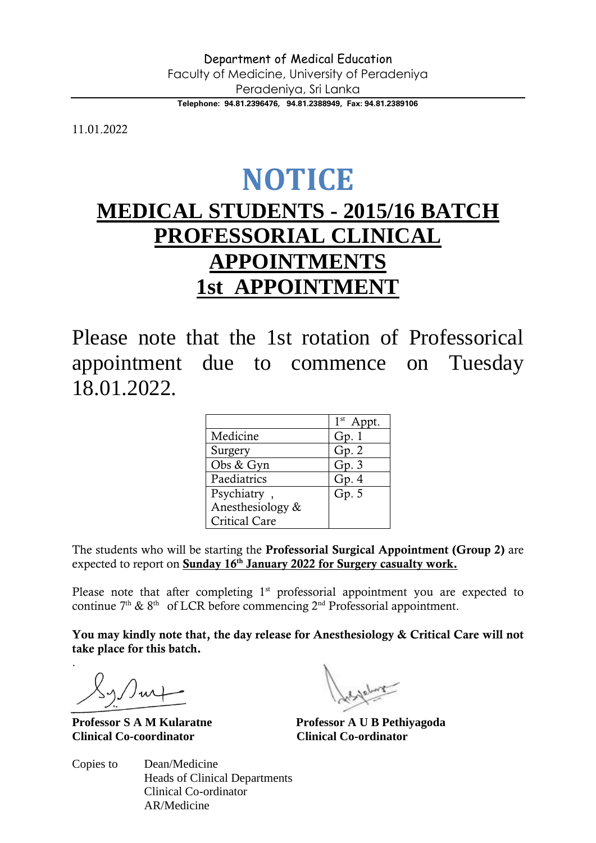**Telephone: 94.81.2396476, 94.81.2388949, Fax: 94.81.2389106**

11.01.2022

## **NOTICE**

## **MEDICAL STUDENTS - 2015/16 BATCH PROFESSORIAL CLINICAL APPOINTMENTS 1st APPOINTMENT**

Please note that the 1st rotation of Professorical appointment due to commence on Tuesday 18.01.2022.

|                      | 1 <sup>st</sup> A |
|----------------------|-------------------|
| Medicine             | Gp. 1             |
| Surgery              | Gp.2              |
| Obs & Gyn            | Gp.3              |
| Paediatrics          | Gp.4              |
| Psychiatry,          | Gp.5              |
| Anesthesiology &     |                   |
| <b>Critical Care</b> |                   |

The students who will be starting the Professorial Surgical Appointment (Group 2) are expected to report on Sunday 16<sup>th</sup> January 2022 for Surgery casualty work.

Please note that after completing  $1<sup>st</sup>$  professorial appointment you are expected to continue  $7<sup>th</sup>$  &  $8<sup>th</sup>$  of LCR before commencing  $2<sup>nd</sup>$  Professorial appointment.

You may kindly note that, the day release for Anesthesiology & Critical Care will not take place for this batch.

.

**Professor S A M Kularatne Professor A U B Pethiyagoda Clinical Co-coordinator Clinical Co-ordinator**

Copies to Dean/Medicine Heads of Clinical Departments Clinical Co-ordinator AR/Medicine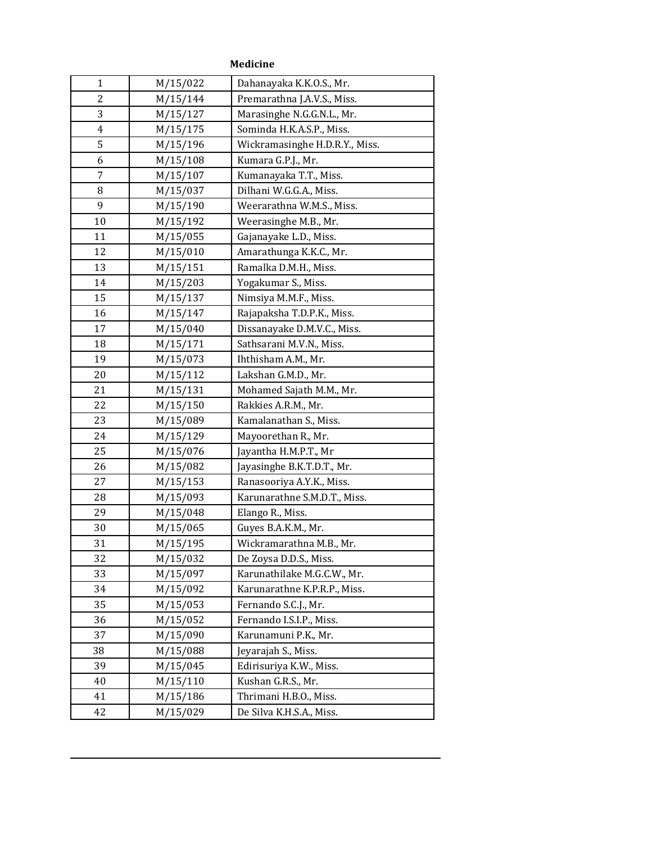| 1              | M/15/022 | Dahanayaka K.K.O.S., Mr.       |
|----------------|----------|--------------------------------|
| 2              | M/15/144 | Premarathna J.A.V.S., Miss.    |
| 3              | M/15/127 | Marasinghe N.G.G.N.L., Mr.     |
| $\overline{4}$ | M/15/175 | Sominda H.K.A.S.P., Miss.      |
| 5              | M/15/196 | Wickramasinghe H.D.R.Y., Miss. |
| 6              | M/15/108 | Kumara G.P.J., Mr.             |
| 7              | M/15/107 | Kumanayaka T.T., Miss.         |
| 8              | M/15/037 | Dilhani W.G.G.A., Miss.        |
| 9              | M/15/190 | Weerarathna W.M.S., Miss.      |
| 10             | M/15/192 | Weerasinghe M.B., Mr.          |
| 11             | M/15/055 | Gajanayake L.D., Miss.         |
| 12             | M/15/010 | Amarathunga K.K.C., Mr.        |
| 13             | M/15/151 | Ramalka D.M.H., Miss.          |
| 14             | M/15/203 | Yogakumar S., Miss.            |
| 15             | M/15/137 | Nimsiya M.M.F., Miss.          |
| 16             | M/15/147 | Rajapaksha T.D.P.K., Miss.     |
| 17             | M/15/040 | Dissanayake D.M.V.C., Miss.    |
| 18             | M/15/171 | Sathsarani M.V.N., Miss.       |
| 19             | M/15/073 | Ihthisham A.M., Mr.            |
| 20             | M/15/112 | Lakshan G.M.D., Mr.            |
| 21             | M/15/131 | Mohamed Sajath M.M., Mr.       |
| 22             | M/15/150 | Rakkies A.R.M., Mr.            |
| 23             | M/15/089 | Kamalanathan S., Miss.         |
| 24             | M/15/129 | Mayoorethan R., Mr.            |
| 25             | M/15/076 | Jayantha H.M.P.T., Mr          |
| 26             | M/15/082 | Jayasinghe B.K.T.D.T., Mr.     |
| 27             | M/15/153 | Ranasooriya A.Y.K., Miss.      |
| 28             | M/15/093 | Karunarathne S.M.D.T., Miss.   |
| 29             | M/15/048 | Elango R., Miss.               |
| 30             | M/15/065 | Guyes B.A.K.M., Mr.            |
| 31             | M/15/195 | Wickramarathna M.B., Mr.       |
| 32             | M/15/032 | De Zoysa D.D.S., Miss.         |
| 33             | M/15/097 | Karunathilake M.G.C.W., Mr.    |
| 34             | M/15/092 | Karunarathne K.P.R.P., Miss.   |
| 35             | M/15/053 | Fernando S.C.J., Mr.           |
| 36             | M/15/052 | Fernando I.S.I.P., Miss.       |
| 37             | M/15/090 | Karunamuni P.K., Mr.           |
| 38             | M/15/088 | Jeyarajah S., Miss.            |
| 39             | M/15/045 | Edirisuriya K.W., Miss.        |
| 40             | M/15/110 | Kushan G.R.S., Mr.             |
| 41             | M/15/186 | Thrimani H.B.O., Miss.         |
| 42             | M/15/029 | De Silva K.H.S.A., Miss.       |

## **Medicine**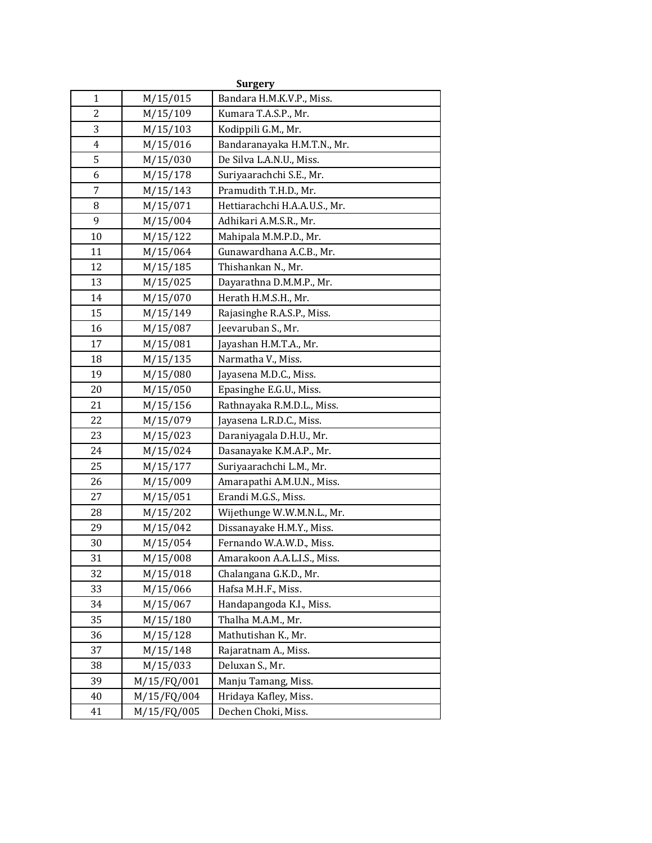| <b>Surgery</b> |             |                               |
|----------------|-------------|-------------------------------|
| $\mathbf{1}$   | M/15/015    | Bandara H.M.K.V.P., Miss.     |
| 2              | M/15/109    | Kumara T.A.S.P., Mr.          |
| 3              | M/15/103    | Kodippili G.M., Mr.           |
| 4              | M/15/016    | Bandaranayaka H.M.T.N., Mr.   |
| 5              | M/15/030    | De Silva L.A.N.U., Miss.      |
| 6              | M/15/178    | Suriyaarachchi S.E., Mr.      |
| 7              | M/15/143    | Pramudith T.H.D., Mr.         |
| 8              | M/15/071    | Hettiarachchi H.A.A.U.S., Mr. |
| 9              | M/15/004    | Adhikari A.M.S.R., Mr.        |
| 10             | M/15/122    | Mahipala M.M.P.D., Mr.        |
| 11             | M/15/064    | Gunawardhana A.C.B., Mr.      |
| 12             | M/15/185    | Thishankan N., Mr.            |
| 13             | M/15/025    | Dayarathna D.M.M.P., Mr.      |
| 14             | M/15/070    | Herath H.M.S.H., Mr.          |
| 15             | M/15/149    | Rajasinghe R.A.S.P., Miss.    |
| 16             | M/15/087    | Jeevaruban S., Mr.            |
| 17             | M/15/081    | Jayashan H.M.T.A., Mr.        |
| 18             | M/15/135    | Narmatha V., Miss.            |
| 19             | M/15/080    | Jayasena M.D.C., Miss.        |
| 20             | M/15/050    | Epasinghe E.G.U., Miss.       |
| 21             | M/15/156    | Rathnayaka R.M.D.L., Miss.    |
| 22             | M/15/079    | Jayasena L.R.D.C., Miss.      |
| 23             | M/15/023    | Daraniyagala D.H.U., Mr.      |
| 24             | M/15/024    | Dasanayake K.M.A.P., Mr.      |
| 25             | M/15/177    | Suriyaarachchi L.M., Mr.      |
| 26             | M/15/009    | Amarapathi A.M.U.N., Miss.    |
| 27             | M/15/051    | Erandi M.G.S., Miss.          |
| 28             | M/15/202    | Wijethunge W.W.M.N.L., Mr.    |
| 29             | M/15/042    | Dissanayake H.M.Y., Miss.     |
| 30             | M/15/054    | Fernando W.A.W.D., Miss.      |
| 31             | M/15/008    | Amarakoon A.A.L.I.S., Miss.   |
| 32             | M/15/018    | Chalangana G.K.D., Mr.        |
| 33             | M/15/066    | Hafsa M.H.F., Miss.           |
| 34             | M/15/067    | Handapangoda K.I., Miss.      |
| 35             | M/15/180    | Thalha M.A.M., Mr.            |
| 36             | M/15/128    | Mathutishan K., Mr.           |
| 37             | M/15/148    | Rajaratnam A., Miss.          |
| 38             | M/15/033    | Deluxan S., Mr.               |
| 39             | M/15/FQ/001 | Manju Tamang, Miss.           |
| 40             | M/15/FQ/004 | Hridaya Kafley, Miss.         |
| 41             | M/15/FQ/005 | Dechen Choki, Miss.           |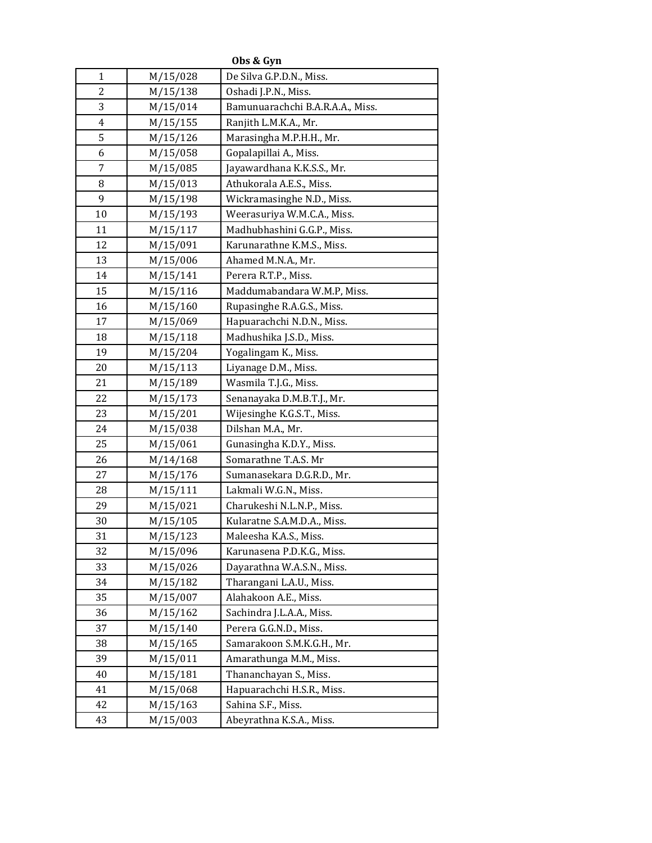| Obs & Gyn      |          |                                  |
|----------------|----------|----------------------------------|
| 1              | M/15/028 | De Silva G.P.D.N., Miss.         |
| 2              | M/15/138 | Oshadi J.P.N., Miss.             |
| 3              | M/15/014 | Bamunuarachchi B.A.R.A.A., Miss. |
| $\overline{4}$ | M/15/155 | Ranjith L.M.K.A., Mr.            |
| 5              | M/15/126 | Marasingha M.P.H.H., Mr.         |
| 6              | M/15/058 | Gopalapillai A., Miss.           |
| 7              | M/15/085 | Jayawardhana K.K.S.S., Mr.       |
| 8              | M/15/013 | Athukorala A.E.S., Miss.         |
| 9              | M/15/198 | Wickramasinghe N.D., Miss.       |
| 10             | M/15/193 | Weerasuriya W.M.C.A., Miss.      |
| 11             | M/15/117 | Madhubhashini G.G.P., Miss.      |
| 12             | M/15/091 | Karunarathne K.M.S., Miss.       |
| 13             | M/15/006 | Ahamed M.N.A., Mr.               |
| 14             | M/15/141 | Perera R.T.P., Miss.             |
| 15             | M/15/116 | Maddumabandara W.M.P, Miss.      |
| 16             | M/15/160 | Rupasinghe R.A.G.S., Miss.       |
| 17             | M/15/069 | Hapuarachchi N.D.N., Miss.       |
| 18             | M/15/118 | Madhushika J.S.D., Miss.         |
| 19             | M/15/204 | Yogalingam K., Miss.             |
| 20             | M/15/113 | Liyanage D.M., Miss.             |
| 21             | M/15/189 | Wasmila T.J.G., Miss.            |
| 22             | M/15/173 | Senanayaka D.M.B.T.J., Mr.       |
| 23             | M/15/201 | Wijesinghe K.G.S.T., Miss.       |
| 24             | M/15/038 | Dilshan M.A., Mr.                |
| 25             | M/15/061 | Gunasingha K.D.Y., Miss.         |
| 26             | M/14/168 | Somarathne T.A.S. Mr             |
| 27             | M/15/176 | Sumanasekara D.G.R.D., Mr.       |
| 28             | M/15/111 | Lakmali W.G.N., Miss.            |
| 29             | M/15/021 | Charukeshi N.L.N.P., Miss.       |
| 30             | M/15/105 | Kularatne S.A.M.D.A., Miss.      |
| 31             | M/15/123 | Maleesha K.A.S., Miss.           |
| 32             | M/15/096 | Karunasena P.D.K.G., Miss.       |
| 33             | M/15/026 | Dayarathna W.A.S.N., Miss.       |
| 34             | M/15/182 | Tharangani L.A.U., Miss.         |
| 35             | M/15/007 | Alahakoon A.E., Miss.            |
| 36             | M/15/162 | Sachindra J.L.A.A., Miss.        |
| 37             | M/15/140 | Perera G.G.N.D., Miss.           |
| 38             | M/15/165 | Samarakoon S.M.K.G.H., Mr.       |
| 39             | M/15/011 | Amarathunga M.M., Miss.          |
| 40             | M/15/181 | Thananchayan S., Miss.           |
| 41             | M/15/068 | Hapuarachchi H.S.R., Miss.       |
| 42             | M/15/163 | Sahina S.F., Miss.               |
| 43             | M/15/003 | Abeyrathna K.S.A., Miss.         |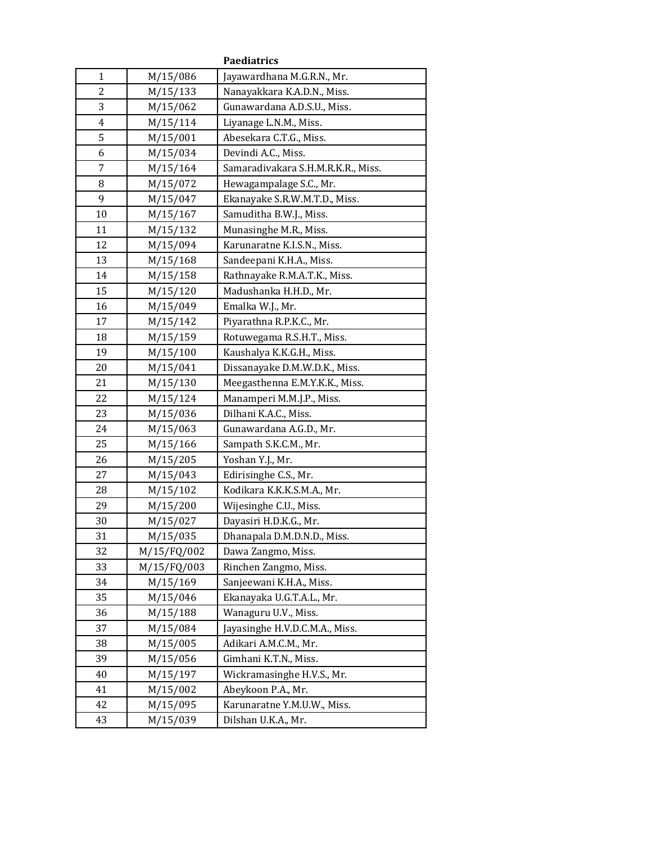| <b>Paediatrics</b> |             |                                    |
|--------------------|-------------|------------------------------------|
| $\mathbf{1}$       | M/15/086    | Jayawardhana M.G.R.N., Mr.         |
| $\overline{2}$     | M/15/133    | Nanayakkara K.A.D.N., Miss.        |
| 3                  | M/15/062    | Gunawardana A.D.S.U., Miss.        |
| 4                  | M/15/114    | Liyanage L.N.M., Miss.             |
| 5                  | M/15/001    | Abesekara C.T.G., Miss.            |
| 6                  | M/15/034    | Devindi A.C., Miss.                |
| 7                  | M/15/164    | Samaradivakara S.H.M.R.K.R., Miss. |
| 8                  | M/15/072    | Hewagampalage S.C., Mr.            |
| 9                  | M/15/047    | Ekanayake S.R.W.M.T.D., Miss.      |
| 10                 | M/15/167    | Samuditha B.W.J., Miss.            |
| 11                 | M/15/132    | Munasinghe M.R., Miss.             |
| 12                 | M/15/094    | Karunaratne K.I.S.N., Miss.        |
| 13                 | M/15/168    | Sandeepani K.H.A., Miss.           |
| 14                 | M/15/158    | Rathnayake R.M.A.T.K., Miss.       |
| 15                 | M/15/120    | Madushanka H.H.D., Mr.             |
| 16                 | M/15/049    | Emalka W.J., Mr.                   |
| 17                 | M/15/142    | Piyarathna R.P.K.C., Mr.           |
| 18                 | M/15/159    | Rotuwegama R.S.H.T., Miss.         |
| 19                 | M/15/100    | Kaushalya K.K.G.H., Miss.          |
| 20                 | M/15/041    | Dissanayake D.M.W.D.K., Miss.      |
| 21                 | M/15/130    | Meegasthenna E.M.Y.K.K., Miss.     |
| 22                 | M/15/124    | Manamperi M.M.J.P., Miss.          |
| 23                 | M/15/036    | Dilhani K.A.C., Miss.              |
| 24                 | M/15/063    | Gunawardana A.G.D., Mr.            |
| 25                 | M/15/166    | Sampath S.K.C.M., Mr.              |
| 26                 | M/15/205    | Yoshan Y.J., Mr.                   |
| 27                 | M/15/043    | Edirisinghe C.S., Mr.              |
| 28                 | M/15/102    | Kodikara K.K.K.S.M.A., Mr.         |
| 29                 | M/15/200    | Wijesinghe C.U., Miss.             |
| 30                 | M/15/027    | Dayasiri H.D.K.G., Mr.             |
| 31                 | M/15/035    | Dhanapala D.M.D.N.D., Miss.        |
| 32                 | M/15/FQ/002 | Dawa Zangmo, Miss.                 |
| 33                 | M/15/FQ/003 | Rinchen Zangmo, Miss.              |
| 34                 | M/15/169    | Sanjeewani K.H.A., Miss.           |
| 35                 | M/15/046    | Ekanayaka U.G.T.A.L., Mr.          |
| 36                 | M/15/188    | Wanaguru U.V., Miss.               |
| 37                 | M/15/084    | Jayasinghe H.V.D.C.M.A., Miss.     |
| 38                 | M/15/005    | Adikari A.M.C.M., Mr.              |
| 39                 | M/15/056    | Gimhani K.T.N., Miss.              |
| 40                 | M/15/197    | Wickramasinghe H.V.S., Mr.         |
| 41                 | M/15/002    | Abeykoon P.A., Mr.                 |
| 42                 | M/15/095    | Karunaratne Y.M.U.W., Miss.        |
| 43                 | M/15/039    | Dilshan U.K.A., Mr.                |